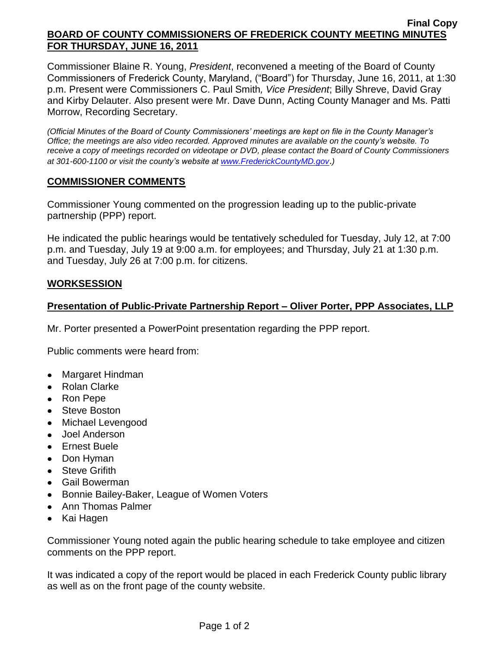#### **Final Copy BOARD OF COUNTY COMMISSIONERS OF FREDERICK COUNTY MEETING MINUTES FOR THURSDAY, JUNE 16, 2011**

Commissioner Blaine R. Young, *President*, reconvened a meeting of the Board of County Commissioners of Frederick County, Maryland, ("Board") for Thursday, June 16, 2011, at 1:30 p.m. Present were Commissioners C. Paul Smith*, Vice President*; Billy Shreve, David Gray and Kirby Delauter. Also present were Mr. Dave Dunn, Acting County Manager and Ms. Patti Morrow, Recording Secretary.

*(Official Minutes of the Board of County Commissioners' meetings are kept on file in the County Manager's Office; the meetings are also video recorded. Approved minutes are available on the county's website. To receive a copy of meetings recorded on videotape or DVD, please contact the Board of County Commissioners at 301-600-1100 or visit the county's website at [www.FrederickCountyMD.gov](http://www.frederickcountymd.gov/)*.*)*

## **COMMISSIONER COMMENTS**

Commissioner Young commented on the progression leading up to the public-private partnership (PPP) report.

He indicated the public hearings would be tentatively scheduled for Tuesday, July 12, at 7:00 p.m. and Tuesday, July 19 at 9:00 a.m. for employees; and Thursday, July 21 at 1:30 p.m. and Tuesday, July 26 at 7:00 p.m. for citizens.

## **WORKSESSION**

## **Presentation of Public-Private Partnership Report – Oliver Porter, PPP Associates, LLP**

Mr. Porter presented a PowerPoint presentation regarding the PPP report.

Public comments were heard from:

- Margaret Hindman
- Rolan Clarke
- Ron Pepe
- Steve Boston
- Michael Levengood
- Joel Anderson
- Ernest Buele
- Don Hyman
- Steve Grifith
- Gail Bowerman
- Bonnie Bailey-Baker, League of Women Voters
- Ann Thomas Palmer
- Kai Hagen

Commissioner Young noted again the public hearing schedule to take employee and citizen comments on the PPP report.

It was indicated a copy of the report would be placed in each Frederick County public library as well as on the front page of the county website.